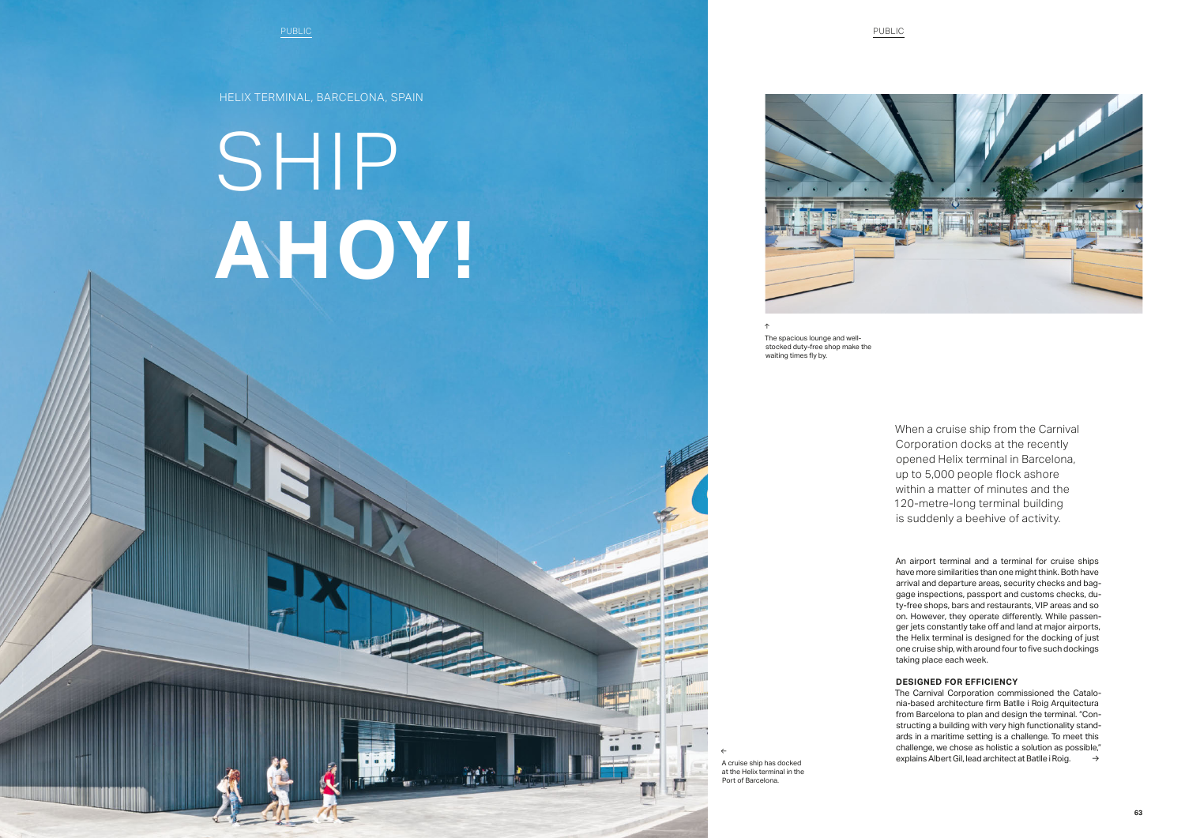HELIX TERMINAL, BARCELONA, SPAIN

SHIP **AHOY!**

<u> Digitar manazi ya matsayin ya ma</u>

The spacious lounge and wellstocked duty-free shop make the waiting times fly by.

← A cruise ship has docked at the Helix terminal in the Port of Barcelona.





The Carnival Corporation commissioned the Catalonia-based architecture firm Batlle i Roig Arquitectura from Barcelona to plan and design the terminal. "Constructing a building with very high functionality standards in a maritime setting is a challenge. To meet this challenge, we chose as holistic a solution as possible," explains Albert Gil, lead architect at Batlle i Roig.  $\rightarrow$ 

An airport terminal and a terminal for cruise ships have more similarities than one might think. Both have arrival and departure areas, security checks and baggage inspections, passport and customs checks, duty-free shops, bars and restaurants, VIP areas and so on. However, they operate differently. While passenger jets constantly take off and land at major airports, the Helix terminal is designed for the docking of just one cruise ship, with around four to five such dockings taking place each week.

## **DESIGNED FOR EFFICIENCY**

When a cruise ship from the Carnival Corporation docks at the recently opened Helix terminal in Barcelona, up to 5,000 people flock ashore within a matter of minutes and the 120-metre-long terminal building is suddenly a beehive of activity.